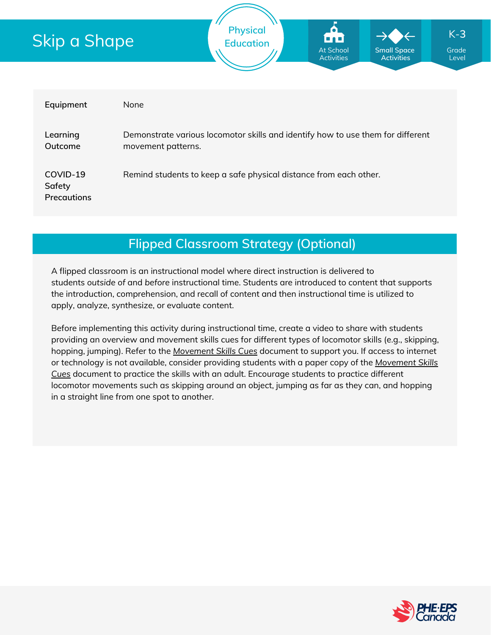# Skip a Shape



| Equipment                                | None                                                                                                  |
|------------------------------------------|-------------------------------------------------------------------------------------------------------|
| Learning<br>Outcome                      | Demonstrate various locomotor skills and identify how to use them for different<br>movement patterns. |
| COVID-19<br>Safety<br><b>Precautions</b> | Remind students to keep a safe physical distance from each other.                                     |

## **Flipped Classroom Strategy (Optional)**

A flipped classroom is an instructional model where direct instruction is delivered to students *outside of* and *before* instructional time. Students are introduced to content that supports the introduction, comprehension, and recall of content and then instructional time is utilized to apply, analyze, synthesize, or evaluate content.

Before implementing this activity during instructional time, create a video to share with students providing an overview and movement skills cues for different types of locomotor skills (e.g., skipping, hopping, jumping). Refer to the *[Movement](https://phecanada.ca/sites/default/files/content/docs/Home%20Learning%20Resource/Movement%20Cues/Movement%20Skills%20Cues%201.pdf) Skills Cues* document to support you. If access to internet or [technology](https://phecanada.ca/sites/default/files/content/docs/Home%20Learning%20Resource/Movement%20Cues/Movement%20Skills%20Cues%201.pdf) is not available, consider providing students with a paper copy of the *Movement Skills Cues* document to practice the skills with an adult. Encourage students to practice different locomotor movements such as skipping around an object, jumping as far as they can, and hopping in a straight line from one spot to another.

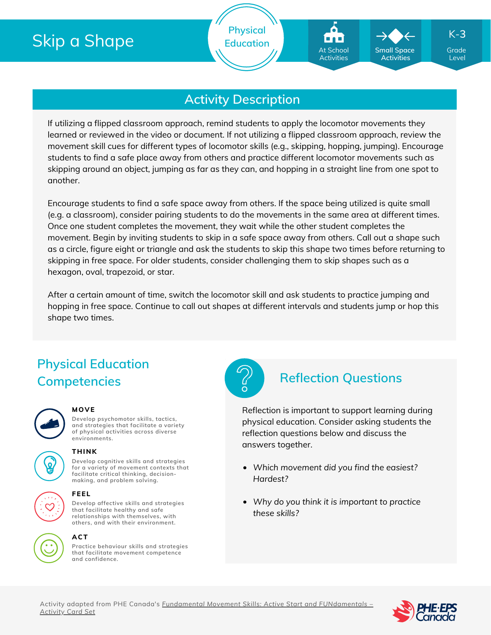# Skip a Shape

**Physical Education** At School Activities

## **Activity Description**

If utilizing a flipped classroom approach, remind students to apply the locomotor movements they learned or reviewed in the video or document. If not utilizing a flipped classroom approach, review the movement skill cues for different types of locomotor skills (e.g., skipping, hopping, jumping). Encourage students to find a safe place away from others and practice different locomotor movements such as skipping around an object, jumping as far as they can, and hopping in a straight line from one spot to another.

Encourage students to find a safe space away from others. If the space being utilized is quite small (e.g. a classroom), consider pairing students to do the movements in the same area at different times. Once one student completes the movement, they wait while the other student completes the movement. Begin by inviting students to skip in a safe space away from others. Call out a shape such as a circle, figure eight or triangle and ask the students to skip this shape two times before returning to skipping in free space. For older students, consider challenging them to skip shapes such as a hexagon, oval, trapezoid, or star.

After a certain amount of time, switch the locomotor skill and ask students to practice jumping and hopping in free space. Continue to call out shapes at different intervals and students jump or hop this shape two times.

## **Physical Education Competencies Reflection Questions**



#### **MOVE**

**Develop psychomotor skills, tactics, and strategies that facilitate a variety of physical activities across diverse environments.**



#### **THINK**

**Develop cognitive skills and strategies for a variety of movement contexts that facilitate critical thinking, decision making, and problem solving.**



**Develop affective skills and strategies that facilitate healthy and safe relationships with themselves, with others, and with their environment.**

#### **ACT**

**Practice behaviour skills and strategies that facilitate movement competence and confidence.**



Reflection is important to support learning during physical education. Consider asking students the reflection questions below and discuss the answers together.

- *Which movement did you find the easiest? Hardest?*
- *Why do you think it is important to practice these skills?*





Grade Level

K-**3**

**Small Space Activities**